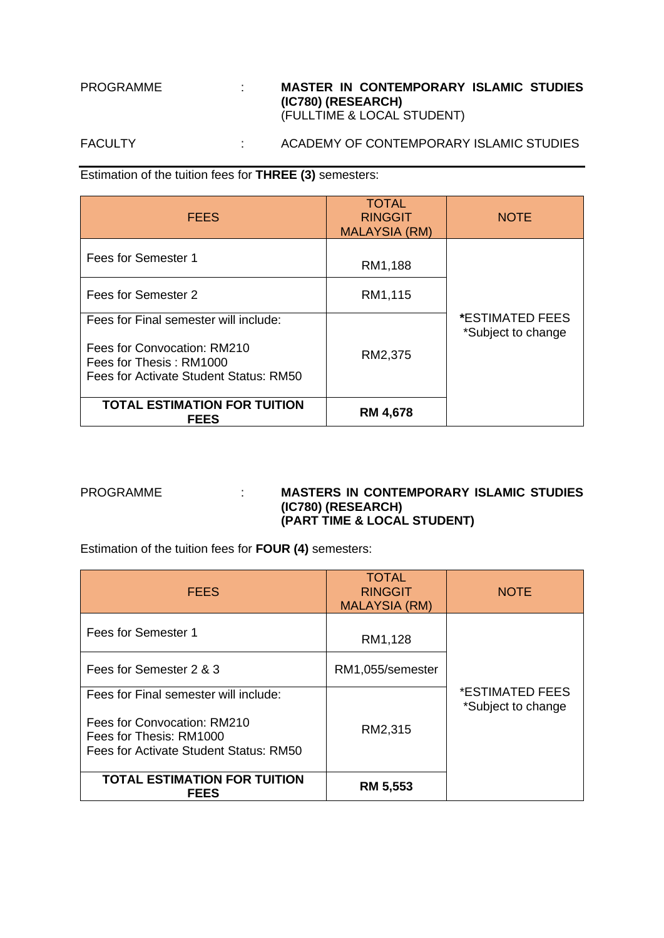# PROGRAMME : **MASTER IN CONTEMPORARY ISLAMIC STUDIES (IC780) (RESEARCH)** (FULLTIME & LOCAL STUDENT)

# FACULTY : ACADEMY OF CONTEMPORARY ISLAMIC STUDIES

Estimation of the tuition fees for **THREE (3)** semesters:

| <b>FEES</b>                                                                                                                               | <b>TOTAL</b><br><b>RINGGIT</b><br><b>MALAYSIA (RM)</b> | <b>NOTE</b>                                         |
|-------------------------------------------------------------------------------------------------------------------------------------------|--------------------------------------------------------|-----------------------------------------------------|
| Fees for Semester 1                                                                                                                       | RM1,188                                                |                                                     |
| Fees for Semester 2                                                                                                                       | RM1,115                                                |                                                     |
| Fees for Final semester will include:<br>Fees for Convocation: RM210<br>Fees for Thesis: RM1000<br>Fees for Activate Student Status: RM50 | RM2,375                                                | <i><b>*ESTIMATED FEES</b></i><br>*Subject to change |
| <b>TOTAL ESTIMATION FOR TUITION</b><br><b>FEES</b>                                                                                        | <b>RM 4,678</b>                                        |                                                     |

### PROGRAMME : **MASTERS IN CONTEMPORARY ISLAMIC STUDIES (IC780) (RESEARCH) (PART TIME & LOCAL STUDENT)**

Estimation of the tuition fees for **FOUR (4)** semesters:

| <b>FEES</b>                                                                                                                               | <b>TOTAL</b><br><b>RINGGIT</b><br><b>MALAYSIA (RM)</b> | <b>NOTE</b>                           |
|-------------------------------------------------------------------------------------------------------------------------------------------|--------------------------------------------------------|---------------------------------------|
| Fees for Semester 1                                                                                                                       | RM1,128                                                |                                       |
| Fees for Semester 2 & 3                                                                                                                   | RM1,055/semester                                       |                                       |
| Fees for Final semester will include:<br>Fees for Convocation: RM210<br>Fees for Thesis: RM1000<br>Fees for Activate Student Status: RM50 | RM2,315                                                | *ESTIMATED FEES<br>*Subject to change |
| <b>TOTAL ESTIMATION FOR TUITION</b><br><b>FEES</b>                                                                                        | <b>RM 5,553</b>                                        |                                       |